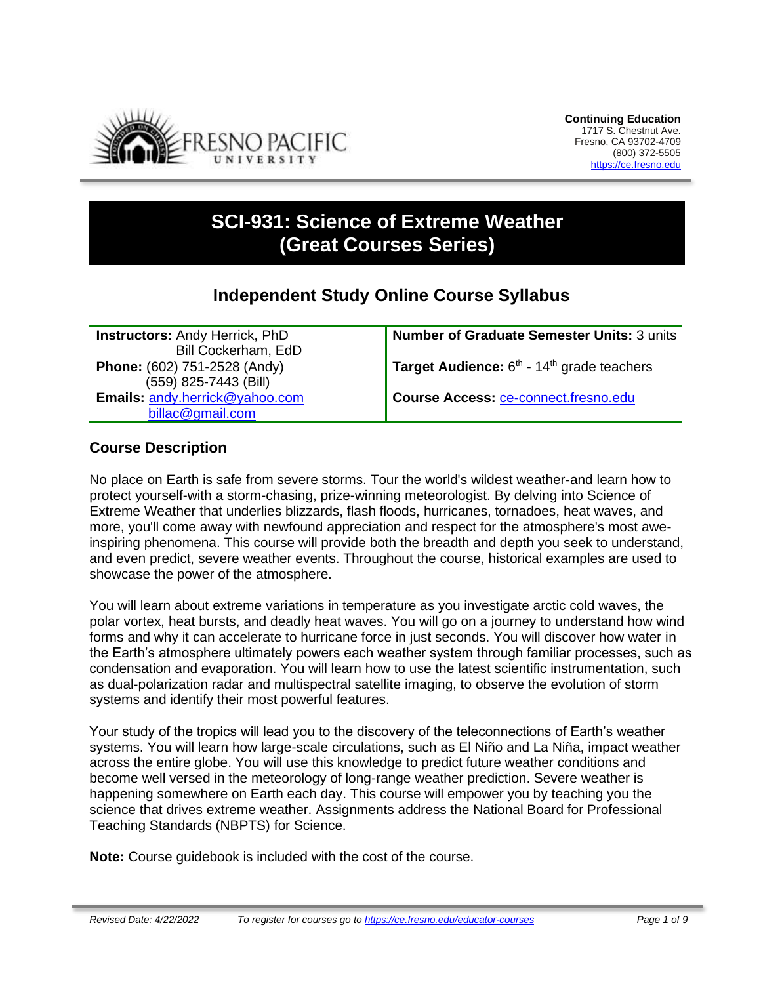

# **SCI-931: Science of Extreme Weather (Great Courses Series)**

## **Independent Study Online Course Syllabus**

**Instructors:** Andy Herrick, PhD Bill Cockerham, EdD **Phone:** (602) 751-2528 (Andy) (559) 825-7443 (Bill) **Emails:** [andy.herrick@yahoo.com](mailto:andy.herrick@yahoo.com) [billac@gmail.com](mailto:billac@gmail.com)

**Number of Graduate Semester Units:** 3 units

**Target Audience:** 6<sup>th</sup> - 14<sup>th</sup> grade teachers

**Course Access:** [ce-connect.fresno.edu](https://ce-connect.fresno.edu/)

## **Course Description**

No place on Earth is safe from severe storms. Tour the world's wildest weather-and learn how to protect yourself-with a storm-chasing, prize-winning meteorologist. By delving into Science of Extreme Weather that underlies blizzards, flash floods, hurricanes, tornadoes, heat waves, and more, you'll come away with newfound appreciation and respect for the atmosphere's most aweinspiring phenomena. This course will provide both the breadth and depth you seek to understand, and even predict, severe weather events. Throughout the course, historical examples are used to showcase the power of the atmosphere.

You will learn about extreme variations in temperature as you investigate arctic cold waves, the polar vortex, heat bursts, and deadly heat waves. You will go on a journey to understand how wind forms and why it can accelerate to hurricane force in just seconds. You will discover how water in the Earth's atmosphere ultimately powers each weather system through familiar processes, such as condensation and evaporation. You will learn how to use the latest scientific instrumentation, such as dual-polarization radar and multispectral satellite imaging, to observe the evolution of storm systems and identify their most powerful features.

Your study of the tropics will lead you to the discovery of the teleconnections of Earth's weather systems. You will learn how large-scale circulations, such as El Niño and La Niña, impact weather across the entire globe. You will use this knowledge to predict future weather conditions and become well versed in the meteorology of long-range weather prediction. Severe weather is happening somewhere on Earth each day. This course will empower you by teaching you the science that drives extreme weather. Assignments address the National Board for Professional Teaching Standards (NBPTS) for Science.

**Note:** Course guidebook is included with the cost of the course.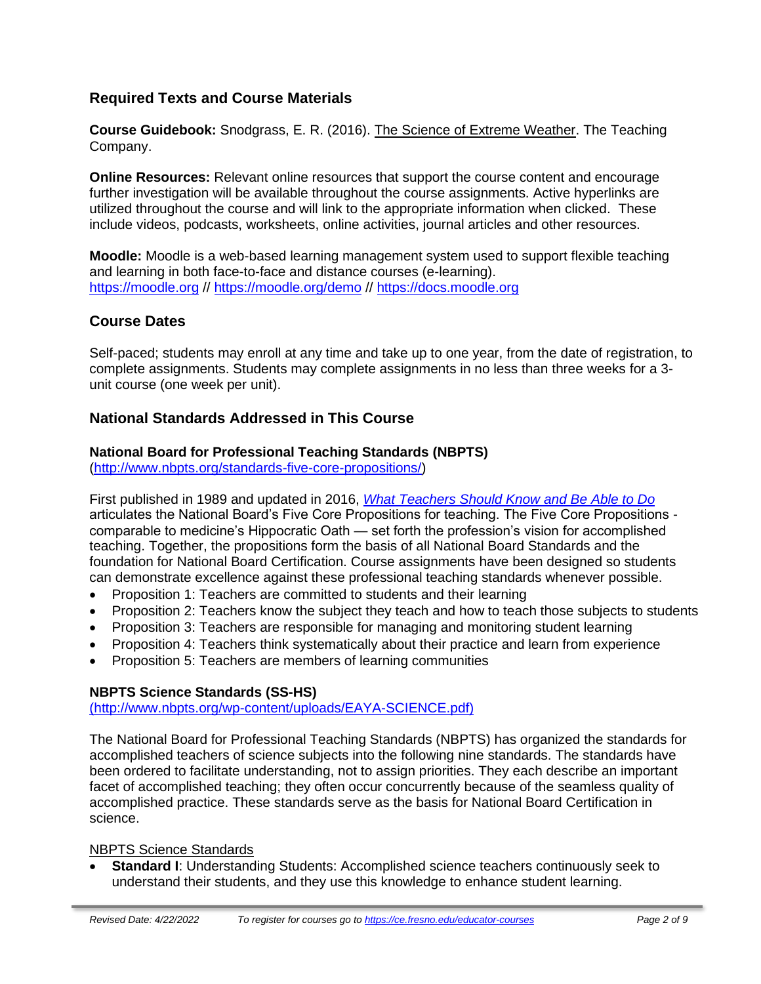## **Required Texts and Course Materials**

**Course Guidebook:** Snodgrass, E. R. (2016). The Science of Extreme Weather. The Teaching Company.

**Online Resources:** Relevant online resources that support the course content and encourage further investigation will be available throughout the course assignments. Active hyperlinks are utilized throughout the course and will link to the appropriate information when clicked. These include videos, podcasts, worksheets, online activities, journal articles and other resources.

**Moodle:** Moodle is a web-based learning management system used to support flexible teaching and learning in both face-to-face and distance courses (e-learning). [https://moodle.org](https://moodle.org/) // <https://moodle.org/demo> // [https://docs.moodle.org](https://docs.moodle.org/)

## **Course Dates**

Self-paced; students may enroll at any time and take up to one year, from the date of registration, to complete assignments. Students may complete assignments in no less than three weeks for a 3 unit course (one week per unit).

## **National Standards Addressed in This Course**

## **National Board for Professional Teaching Standards (NBPTS)**

[\(http://www.nbpts.org/standards-five-core-propositions/\)](http://www.nbpts.org/standards-five-core-propositions/)

First published in 1989 and updated in 2016, *[What Teachers Should Know and Be Able to Do](http://www.accomplishedteacher.org/)* articulates the National Board's Five Core Propositions for teaching. The Five Core Propositions comparable to medicine's Hippocratic Oath — set forth the profession's vision for accomplished teaching. Together, the propositions form the basis of all National Board Standards and the foundation for National Board Certification. Course assignments have been designed so students can demonstrate excellence against these professional teaching standards whenever possible.

- Proposition 1: Teachers are committed to students and their learning
- Proposition 2: Teachers know the subject they teach and how to teach those subjects to students
- Proposition 3: Teachers are responsible for managing and monitoring student learning
- Proposition 4: Teachers think systematically about their practice and learn from experience
- Proposition 5: Teachers are members of learning communities

## **NBPTS Science Standards (SS-HS)**

[\(http://www.nbpts.org/wp-content/uploads/EAYA-SCIENCE.pdf\)](file:///C:/Users/ath92/Dropbox/CE%20Shared%20Folder/__SCI-%23%23%23%20-%20Science%20of%20Extreme%20Weather/(http:/www.nbpts.org/wp-content/uploads/EAYA-SCIENCE.pdf))

The National Board for Professional Teaching Standards (NBPTS) has organized the standards for accomplished teachers of science subjects into the following nine standards. The standards have been ordered to facilitate understanding, not to assign priorities. They each describe an important facet of accomplished teaching; they often occur concurrently because of the seamless quality of accomplished practice. These standards serve as the basis for National Board Certification in science.

#### NBPTS Science Standards

• **Standard I**: Understanding Students: Accomplished science teachers continuously seek to understand their students, and they use this knowledge to enhance student learning.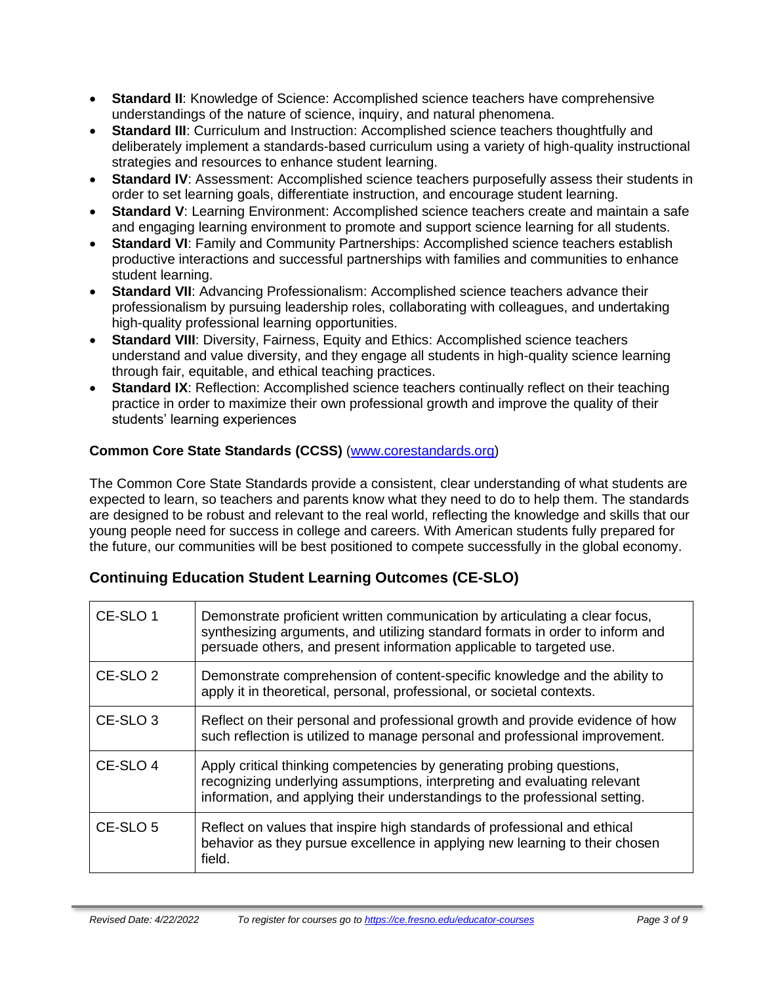- **Standard II**: Knowledge of Science: Accomplished science teachers have comprehensive understandings of the nature of science, inquiry, and natural phenomena.
- **Standard III**: Curriculum and Instruction: Accomplished science teachers thoughtfully and deliberately implement a standards-based curriculum using a variety of high-quality instructional strategies and resources to enhance student learning.
- **Standard IV**: Assessment: Accomplished science teachers purposefully assess their students in order to set learning goals, differentiate instruction, and encourage student learning.
- **Standard V**: Learning Environment: Accomplished science teachers create and maintain a safe and engaging learning environment to promote and support science learning for all students.
- **Standard VI**: Family and Community Partnerships: Accomplished science teachers establish productive interactions and successful partnerships with families and communities to enhance student learning.
- **Standard VII**: Advancing Professionalism: Accomplished science teachers advance their professionalism by pursuing leadership roles, collaborating with colleagues, and undertaking high-quality professional learning opportunities.
- **Standard VIII**: Diversity, Fairness, Equity and Ethics: Accomplished science teachers understand and value diversity, and they engage all students in high-quality science learning through fair, equitable, and ethical teaching practices.
- **Standard IX:** Reflection: Accomplished science teachers continually reflect on their teaching practice in order to maximize their own professional growth and improve the quality of their students' learning experiences

## **Common Core State Standards (CCSS)** [\(www.corestandards.org\)](http://www.corestandards.org/)

The Common Core State Standards provide a consistent, clear understanding of what students are expected to learn, so teachers and parents know what they need to do to help them. The standards are designed to be robust and relevant to the real world, reflecting the knowledge and skills that our young people need for success in college and careers. With American students fully prepared for the future, our communities will be best positioned to compete successfully in the global economy.

## **Continuing Education Student Learning Outcomes (CE-SLO)**

| CE-SLO 1            | Demonstrate proficient written communication by articulating a clear focus,<br>synthesizing arguments, and utilizing standard formats in order to inform and<br>persuade others, and present information applicable to targeted use. |
|---------------------|--------------------------------------------------------------------------------------------------------------------------------------------------------------------------------------------------------------------------------------|
| CE-SLO <sub>2</sub> | Demonstrate comprehension of content-specific knowledge and the ability to<br>apply it in theoretical, personal, professional, or societal contexts.                                                                                 |
| CE-SLO <sub>3</sub> | Reflect on their personal and professional growth and provide evidence of how<br>such reflection is utilized to manage personal and professional improvement.                                                                        |
| CE-SLO 4            | Apply critical thinking competencies by generating probing questions,<br>recognizing underlying assumptions, interpreting and evaluating relevant<br>information, and applying their understandings to the professional setting.     |
| CE-SLO <sub>5</sub> | Reflect on values that inspire high standards of professional and ethical<br>behavior as they pursue excellence in applying new learning to their chosen<br>field.                                                                   |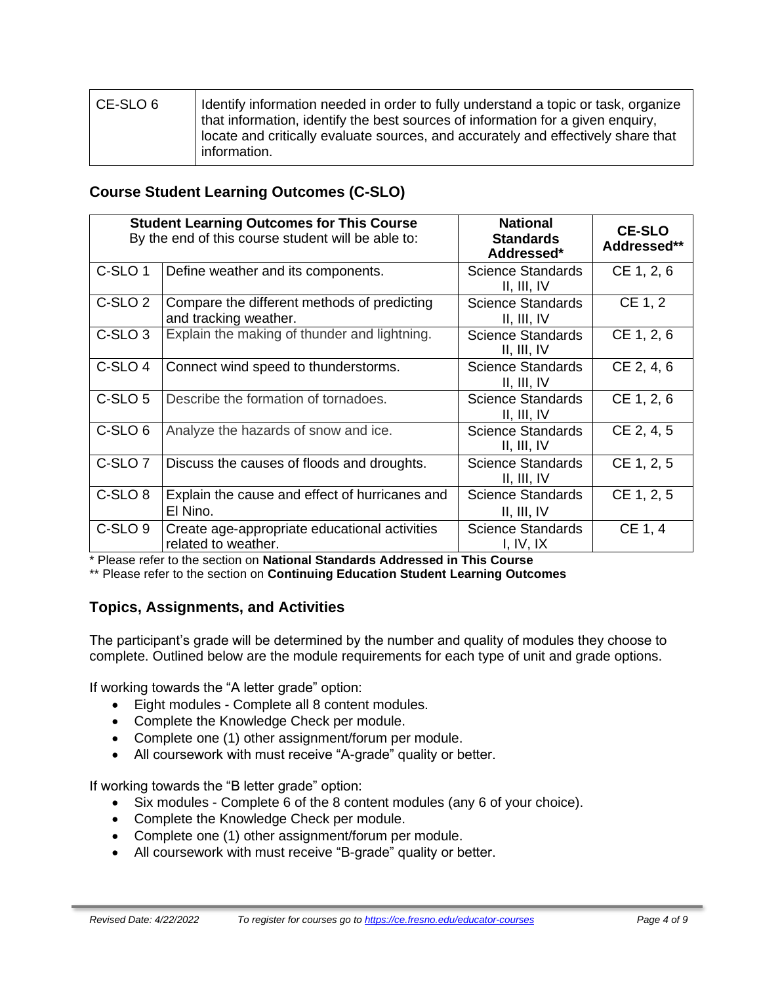| l CE-SLO 6 | Identify information needed in order to fully understand a topic or task, organize<br>that information, identify the best sources of information for a given enquiry,<br>locate and critically evaluate sources, and accurately and effectively share that<br>information. |
|------------|----------------------------------------------------------------------------------------------------------------------------------------------------------------------------------------------------------------------------------------------------------------------------|
|            |                                                                                                                                                                                                                                                                            |

## **Course Student Learning Outcomes (C-SLO)**

|                    | <b>Student Learning Outcomes for This Course</b>                     | <b>National</b>                         | <b>CE-SLO</b> |
|--------------------|----------------------------------------------------------------------|-----------------------------------------|---------------|
|                    | By the end of this course student will be able to:                   | <b>Standards</b><br>Addressed*          | Addressed**   |
| C-SLO <sub>1</sub> | Define weather and its components.                                   | <b>Science Standards</b><br>II, III, IV | CE 1, 2, 6    |
| C-SLO <sub>2</sub> | Compare the different methods of predicting<br>and tracking weather. | <b>Science Standards</b><br>II, III, IV | CE 1, 2       |
| C-SLO <sub>3</sub> | Explain the making of thunder and lightning.                         | <b>Science Standards</b><br>II, III, IV | CE 1, 2, 6    |
| C-SLO <sub>4</sub> | Connect wind speed to thunderstorms.                                 | <b>Science Standards</b><br>II, III, IV | CE 2, 4, 6    |
| C-SLO <sub>5</sub> | Describe the formation of tornadoes.                                 | <b>Science Standards</b><br>II, III, IV | CE 1, 2, 6    |
| C-SLO <sub>6</sub> | Analyze the hazards of snow and ice.                                 | <b>Science Standards</b><br>II, III, IV | CE 2, 4, 5    |
| C-SLO <sub>7</sub> | Discuss the causes of floods and droughts.                           | <b>Science Standards</b><br>II, III, IV | CE 1, 2, 5    |
| C-SLO <sub>8</sub> | Explain the cause and effect of hurricanes and<br>El Nino.           | Science Standards<br>II, III, IV        | CE 1, 2, 5    |
| C-SLO <sub>9</sub> | Create age-appropriate educational activities<br>related to weather. | <b>Science Standards</b><br>I, IV, IX   | CE 1, 4       |

\* Please refer to the section on **National Standards Addressed in This Course**

\*\* Please refer to the section on **Continuing Education Student Learning Outcomes**

## **Topics, Assignments, and Activities**

The participant's grade will be determined by the number and quality of modules they choose to complete. Outlined below are the module requirements for each type of unit and grade options.

If working towards the "A letter grade" option:

- Eight modules Complete all 8 content modules.
- Complete the Knowledge Check per module.
- Complete one (1) other assignment/forum per module.
- All coursework with must receive "A-grade" quality or better.

If working towards the "B letter grade" option:

- Six modules Complete 6 of the 8 content modules (any 6 of your choice).
- Complete the Knowledge Check per module.
- Complete one (1) other assignment/forum per module.
- All coursework with must receive "B-grade" quality or better.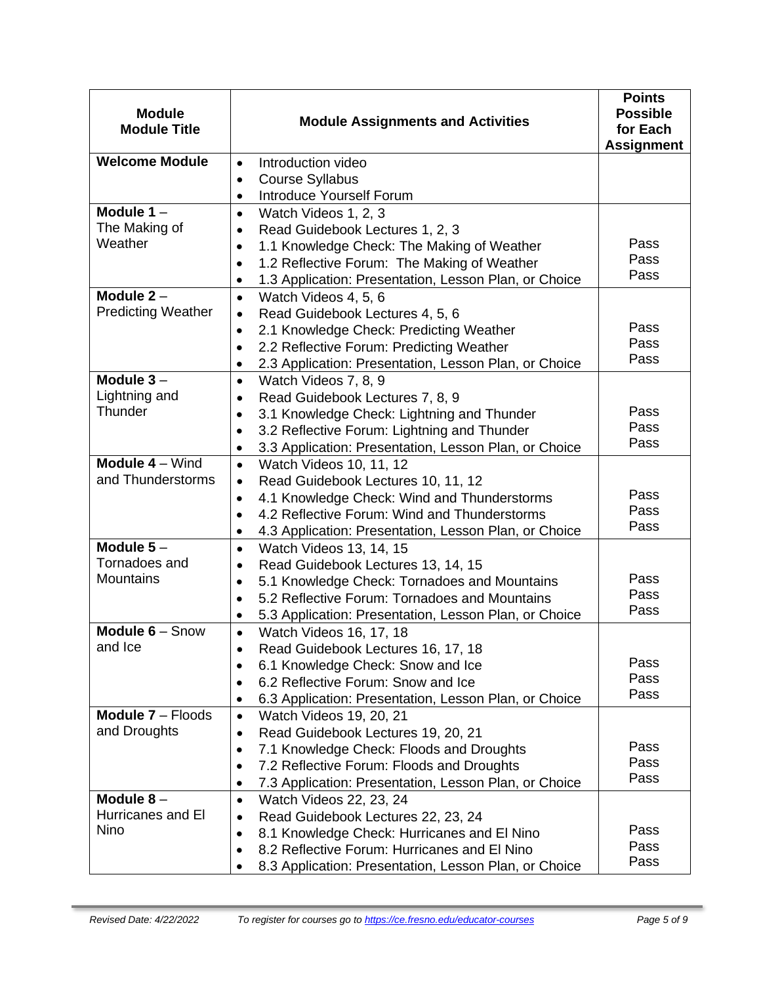| <b>Module</b><br><b>Module Title</b>                                                        | <b>Module Assignments and Activities</b>                                                                                                                                                                                                                                                                                                                                                                                                                                                                                                                                                                                 | <b>Points</b><br><b>Possible</b><br>for Each<br><b>Assignment</b> |
|---------------------------------------------------------------------------------------------|--------------------------------------------------------------------------------------------------------------------------------------------------------------------------------------------------------------------------------------------------------------------------------------------------------------------------------------------------------------------------------------------------------------------------------------------------------------------------------------------------------------------------------------------------------------------------------------------------------------------------|-------------------------------------------------------------------|
| <b>Welcome Module</b>                                                                       | Introduction video<br>$\bullet$                                                                                                                                                                                                                                                                                                                                                                                                                                                                                                                                                                                          |                                                                   |
|                                                                                             | <b>Course Syllabus</b><br>$\bullet$                                                                                                                                                                                                                                                                                                                                                                                                                                                                                                                                                                                      |                                                                   |
|                                                                                             | Introduce Yourself Forum<br>$\bullet$                                                                                                                                                                                                                                                                                                                                                                                                                                                                                                                                                                                    |                                                                   |
| Module $1 -$                                                                                | Watch Videos 1, 2, 3<br>$\bullet$                                                                                                                                                                                                                                                                                                                                                                                                                                                                                                                                                                                        |                                                                   |
| The Making of                                                                               | Read Guidebook Lectures 1, 2, 3                                                                                                                                                                                                                                                                                                                                                                                                                                                                                                                                                                                          |                                                                   |
| Weather                                                                                     | 1.1 Knowledge Check: The Making of Weather<br>$\bullet$                                                                                                                                                                                                                                                                                                                                                                                                                                                                                                                                                                  | Pass                                                              |
|                                                                                             | 1.2 Reflective Forum: The Making of Weather<br>$\bullet$                                                                                                                                                                                                                                                                                                                                                                                                                                                                                                                                                                 | Pass                                                              |
|                                                                                             | 1.3 Application: Presentation, Lesson Plan, or Choice<br>$\bullet$                                                                                                                                                                                                                                                                                                                                                                                                                                                                                                                                                       | Pass                                                              |
| Module $2 -$                                                                                | Watch Videos 4, 5, 6<br>$\bullet$                                                                                                                                                                                                                                                                                                                                                                                                                                                                                                                                                                                        |                                                                   |
| <b>Predicting Weather</b>                                                                   | Read Guidebook Lectures 4, 5, 6<br>$\bullet$                                                                                                                                                                                                                                                                                                                                                                                                                                                                                                                                                                             |                                                                   |
|                                                                                             | 2.1 Knowledge Check: Predicting Weather<br>$\bullet$                                                                                                                                                                                                                                                                                                                                                                                                                                                                                                                                                                     | Pass                                                              |
|                                                                                             | 2.2 Reflective Forum: Predicting Weather<br>$\bullet$                                                                                                                                                                                                                                                                                                                                                                                                                                                                                                                                                                    | Pass<br>Pass                                                      |
|                                                                                             | 2.3 Application: Presentation, Lesson Plan, or Choice<br>٠                                                                                                                                                                                                                                                                                                                                                                                                                                                                                                                                                               |                                                                   |
| Module $3-$                                                                                 | Watch Videos 7, 8, 9<br>$\bullet$                                                                                                                                                                                                                                                                                                                                                                                                                                                                                                                                                                                        |                                                                   |
| Lightning and<br>Thunder                                                                    | Read Guidebook Lectures 7, 8, 9<br>$\bullet$                                                                                                                                                                                                                                                                                                                                                                                                                                                                                                                                                                             |                                                                   |
|                                                                                             | 3.1 Knowledge Check: Lightning and Thunder<br>$\bullet$                                                                                                                                                                                                                                                                                                                                                                                                                                                                                                                                                                  | Pass<br>Pass                                                      |
|                                                                                             | 3.2 Reflective Forum: Lightning and Thunder<br>$\bullet$                                                                                                                                                                                                                                                                                                                                                                                                                                                                                                                                                                 | Pass                                                              |
|                                                                                             | 3.3 Application: Presentation, Lesson Plan, or Choice<br>٠                                                                                                                                                                                                                                                                                                                                                                                                                                                                                                                                                               |                                                                   |
| Module 4 - Wind                                                                             | Watch Videos 10, 11, 12<br>$\bullet$                                                                                                                                                                                                                                                                                                                                                                                                                                                                                                                                                                                     |                                                                   |
| and Thunderstorms                                                                           | Read Guidebook Lectures 10, 11, 12<br>$\bullet$                                                                                                                                                                                                                                                                                                                                                                                                                                                                                                                                                                          | Pass                                                              |
|                                                                                             | 4.1 Knowledge Check: Wind and Thunderstorms<br>$\bullet$                                                                                                                                                                                                                                                                                                                                                                                                                                                                                                                                                                 | Pass                                                              |
|                                                                                             | 4.2 Reflective Forum: Wind and Thunderstorms<br>$\bullet$                                                                                                                                                                                                                                                                                                                                                                                                                                                                                                                                                                | Pass                                                              |
|                                                                                             | 4.3 Application: Presentation, Lesson Plan, or Choice<br>$\bullet$                                                                                                                                                                                                                                                                                                                                                                                                                                                                                                                                                       |                                                                   |
| Module $5-$                                                                                 | Watch Videos 13, 14, 15<br>$\bullet$                                                                                                                                                                                                                                                                                                                                                                                                                                                                                                                                                                                     |                                                                   |
| Tornadoes and<br>Mountains                                                                  | Read Guidebook Lectures 13, 14, 15<br>$\bullet$                                                                                                                                                                                                                                                                                                                                                                                                                                                                                                                                                                          | Pass                                                              |
|                                                                                             | 5.1 Knowledge Check: Tornadoes and Mountains<br>$\bullet$                                                                                                                                                                                                                                                                                                                                                                                                                                                                                                                                                                | Pass                                                              |
|                                                                                             | 5.2 Reflective Forum: Tornadoes and Mountains<br>$\bullet$                                                                                                                                                                                                                                                                                                                                                                                                                                                                                                                                                               | Pass                                                              |
| Module 6 - Snow                                                                             | 5.3 Application: Presentation, Lesson Plan, or Choice<br>$\bullet$                                                                                                                                                                                                                                                                                                                                                                                                                                                                                                                                                       |                                                                   |
| and Ice                                                                                     | Watch Videos 16, 17, 18<br>$\bullet$                                                                                                                                                                                                                                                                                                                                                                                                                                                                                                                                                                                     |                                                                   |
|                                                                                             | Read Guidebook Lectures 16, 17, 18                                                                                                                                                                                                                                                                                                                                                                                                                                                                                                                                                                                       | Pass                                                              |
|                                                                                             | 6.1 Knowledge Check: Snow and Ice<br>$\bullet$<br>6.2 Reflective Forum: Snow and Ice                                                                                                                                                                                                                                                                                                                                                                                                                                                                                                                                     | Pass                                                              |
|                                                                                             | $\bullet$                                                                                                                                                                                                                                                                                                                                                                                                                                                                                                                                                                                                                |                                                                   |
|                                                                                             |                                                                                                                                                                                                                                                                                                                                                                                                                                                                                                                                                                                                                          |                                                                   |
|                                                                                             |                                                                                                                                                                                                                                                                                                                                                                                                                                                                                                                                                                                                                          |                                                                   |
|                                                                                             |                                                                                                                                                                                                                                                                                                                                                                                                                                                                                                                                                                                                                          |                                                                   |
|                                                                                             |                                                                                                                                                                                                                                                                                                                                                                                                                                                                                                                                                                                                                          |                                                                   |
|                                                                                             |                                                                                                                                                                                                                                                                                                                                                                                                                                                                                                                                                                                                                          |                                                                   |
|                                                                                             |                                                                                                                                                                                                                                                                                                                                                                                                                                                                                                                                                                                                                          |                                                                   |
|                                                                                             |                                                                                                                                                                                                                                                                                                                                                                                                                                                                                                                                                                                                                          |                                                                   |
|                                                                                             |                                                                                                                                                                                                                                                                                                                                                                                                                                                                                                                                                                                                                          |                                                                   |
|                                                                                             |                                                                                                                                                                                                                                                                                                                                                                                                                                                                                                                                                                                                                          |                                                                   |
|                                                                                             |                                                                                                                                                                                                                                                                                                                                                                                                                                                                                                                                                                                                                          | Pass                                                              |
| <b>Module 7 - Floods</b><br>and Droughts<br>Module $8-$<br>Hurricanes and El<br><b>Nino</b> | 6.3 Application: Presentation, Lesson Plan, or Choice<br>٠<br>Watch Videos 19, 20, 21<br>$\bullet$<br>Read Guidebook Lectures 19, 20, 21<br>$\bullet$<br>7.1 Knowledge Check: Floods and Droughts<br>$\bullet$<br>7.2 Reflective Forum: Floods and Droughts<br>$\bullet$<br>7.3 Application: Presentation, Lesson Plan, or Choice<br>٠<br>Watch Videos 22, 23, 24<br>$\bullet$<br>Read Guidebook Lectures 22, 23, 24<br>٠<br>8.1 Knowledge Check: Hurricanes and El Nino<br>$\bullet$<br>8.2 Reflective Forum: Hurricanes and El Nino<br>$\bullet$<br>8.3 Application: Presentation, Lesson Plan, or Choice<br>$\bullet$ | Pass<br>Pass<br>Pass<br>Pass<br>Pass<br>Pass                      |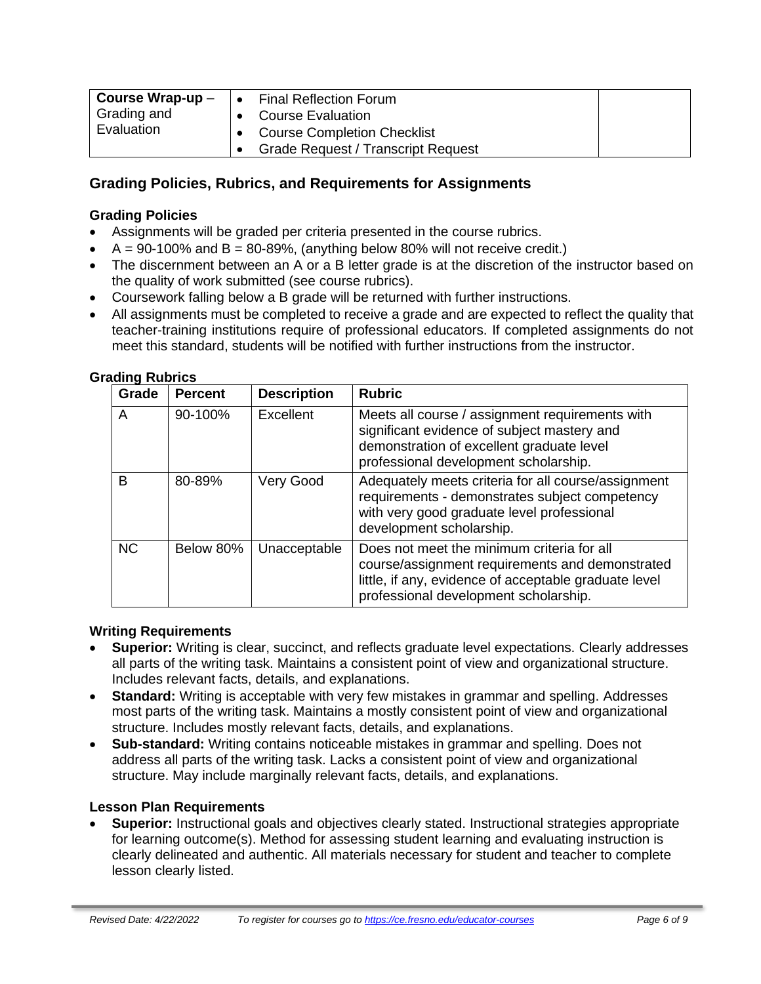| Course Wrap-up $-$<br>Final Reflection Forum |  |                                           |  |
|----------------------------------------------|--|-------------------------------------------|--|
| Grading and                                  |  | <b>Course Evaluation</b>                  |  |
| Evaluation                                   |  | <b>Course Completion Checklist</b>        |  |
|                                              |  | <b>Grade Request / Transcript Request</b> |  |

## **Grading Policies, Rubrics, and Requirements for Assignments**

#### **Grading Policies**

- Assignments will be graded per criteria presented in the course rubrics.
- $A = 90-100\%$  and  $B = 80-89\%$ , (anything below 80% will not receive credit.)
- The discernment between an A or a B letter grade is at the discretion of the instructor based on the quality of work submitted (see course rubrics).
- Coursework falling below a B grade will be returned with further instructions.
- All assignments must be completed to receive a grade and are expected to reflect the quality that teacher-training institutions require of professional educators. If completed assignments do not meet this standard, students will be notified with further instructions from the instructor.

| Grade     | <b>Percent</b> | <b>Description</b> | <b>Rubric</b>                                                                                                                                                                                   |
|-----------|----------------|--------------------|-------------------------------------------------------------------------------------------------------------------------------------------------------------------------------------------------|
| A         | 90-100%        | Excellent          | Meets all course / assignment requirements with<br>significant evidence of subject mastery and<br>demonstration of excellent graduate level<br>professional development scholarship.            |
| B         | 80-89%         | Very Good          | Adequately meets criteria for all course/assignment<br>requirements - demonstrates subject competency<br>with very good graduate level professional<br>development scholarship.                 |
| <b>NC</b> | Below 80%      | Unacceptable       | Does not meet the minimum criteria for all<br>course/assignment requirements and demonstrated<br>little, if any, evidence of acceptable graduate level<br>professional development scholarship. |

#### **Grading Rubrics**

#### **Writing Requirements**

- **Superior:** Writing is clear, succinct, and reflects graduate level expectations. Clearly addresses all parts of the writing task. Maintains a consistent point of view and organizational structure. Includes relevant facts, details, and explanations.
- **Standard:** Writing is acceptable with very few mistakes in grammar and spelling. Addresses most parts of the writing task. Maintains a mostly consistent point of view and organizational structure. Includes mostly relevant facts, details, and explanations.
- **Sub-standard:** Writing contains noticeable mistakes in grammar and spelling. Does not address all parts of the writing task. Lacks a consistent point of view and organizational structure. May include marginally relevant facts, details, and explanations.

#### **Lesson Plan Requirements**

• **Superior:** Instructional goals and objectives clearly stated. Instructional strategies appropriate for learning outcome(s). Method for assessing student learning and evaluating instruction is clearly delineated and authentic. All materials necessary for student and teacher to complete lesson clearly listed.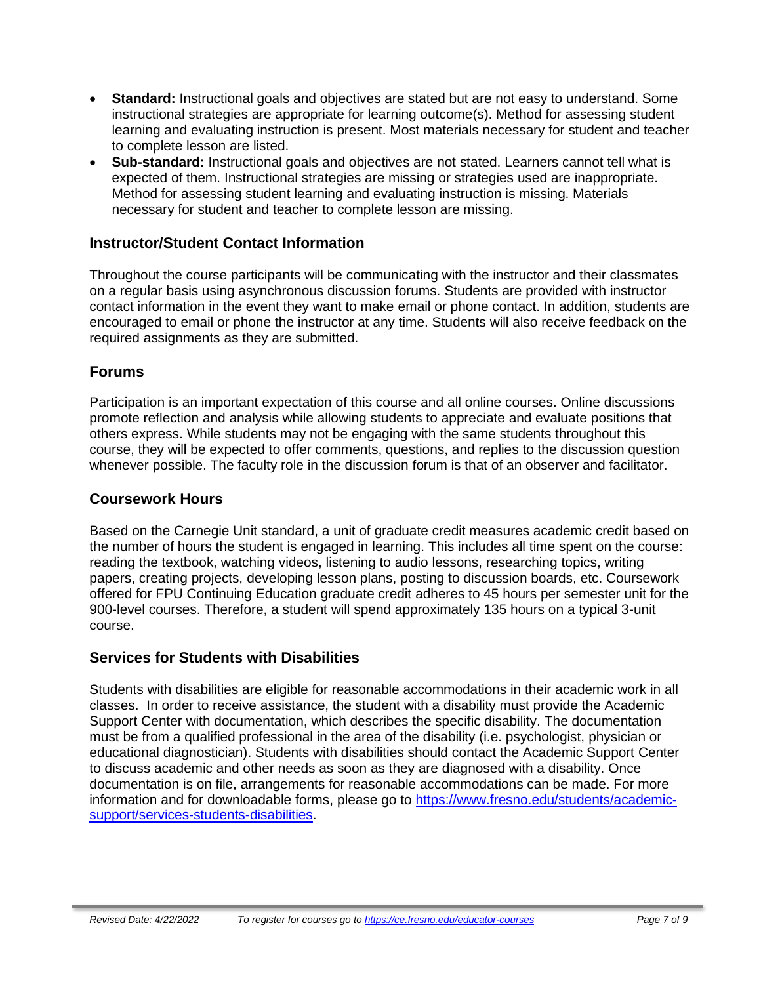- **Standard:** Instructional goals and objectives are stated but are not easy to understand. Some instructional strategies are appropriate for learning outcome(s). Method for assessing student learning and evaluating instruction is present. Most materials necessary for student and teacher to complete lesson are listed.
- **Sub-standard:** Instructional goals and objectives are not stated. Learners cannot tell what is expected of them. Instructional strategies are missing or strategies used are inappropriate. Method for assessing student learning and evaluating instruction is missing. Materials necessary for student and teacher to complete lesson are missing.

## **Instructor/Student Contact Information**

Throughout the course participants will be communicating with the instructor and their classmates on a regular basis using asynchronous discussion forums. Students are provided with instructor contact information in the event they want to make email or phone contact. In addition, students are encouraged to email or phone the instructor at any time. Students will also receive feedback on the required assignments as they are submitted.

## **Forums**

Participation is an important expectation of this course and all online courses. Online discussions promote reflection and analysis while allowing students to appreciate and evaluate positions that others express. While students may not be engaging with the same students throughout this course, they will be expected to offer comments, questions, and replies to the discussion question whenever possible. The faculty role in the discussion forum is that of an observer and facilitator.

### **Coursework Hours**

Based on the Carnegie Unit standard, a unit of graduate credit measures academic credit based on the number of hours the student is engaged in learning. This includes all time spent on the course: reading the textbook, watching videos, listening to audio lessons, researching topics, writing papers, creating projects, developing lesson plans, posting to discussion boards, etc. Coursework offered for FPU Continuing Education graduate credit adheres to 45 hours per semester unit for the 900-level courses. Therefore, a student will spend approximately 135 hours on a typical 3-unit course.

## **Services for Students with Disabilities**

Students with disabilities are eligible for reasonable accommodations in their academic work in all classes. In order to receive assistance, the student with a disability must provide the Academic Support Center with documentation, which describes the specific disability. The documentation must be from a qualified professional in the area of the disability (i.e. psychologist, physician or educational diagnostician). Students with disabilities should contact the Academic Support Center to discuss academic and other needs as soon as they are diagnosed with a disability. Once documentation is on file, arrangements for reasonable accommodations can be made. For more information and for downloadable forms, please go to [https://www.fresno.edu/students/academic](https://www.fresno.edu/students/academic-support/services-students-disabilities)[support/services-students-disabilities.](https://www.fresno.edu/students/academic-support/services-students-disabilities)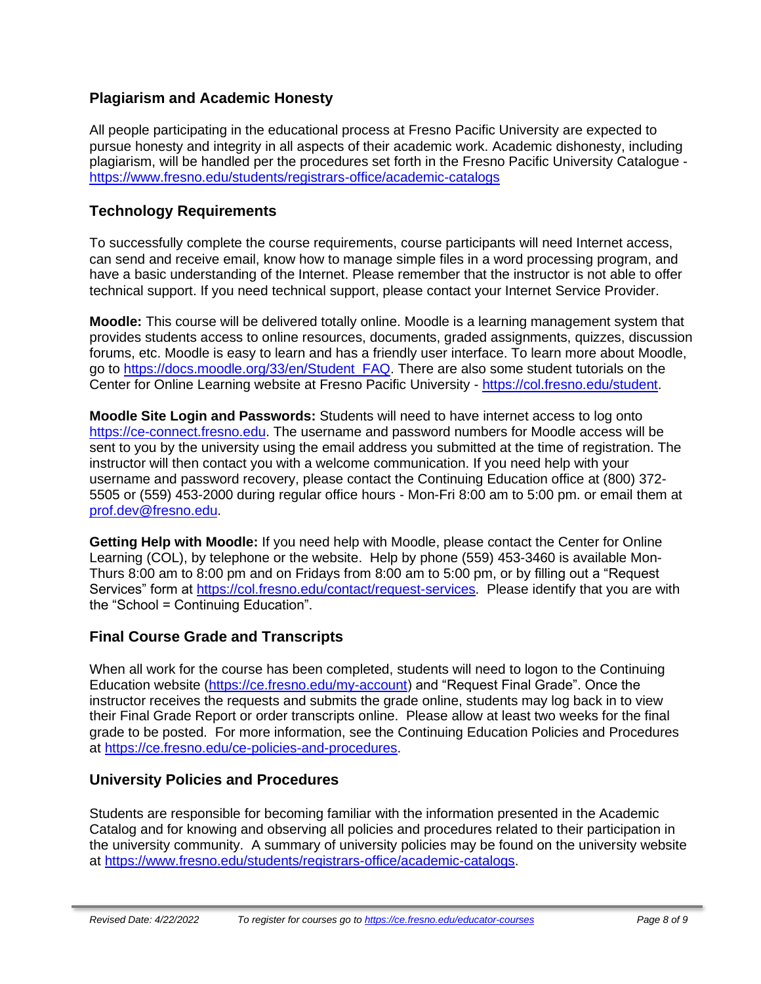## **Plagiarism and Academic Honesty**

All people participating in the educational process at Fresno Pacific University are expected to pursue honesty and integrity in all aspects of their academic work. Academic dishonesty, including plagiarism, will be handled per the procedures set forth in the Fresno Pacific University Catalogue <https://www.fresno.edu/students/registrars-office/academic-catalogs>

## **Technology Requirements**

To successfully complete the course requirements, course participants will need Internet access, can send and receive email, know how to manage simple files in a word processing program, and have a basic understanding of the Internet. Please remember that the instructor is not able to offer technical support. If you need technical support, please contact your Internet Service Provider.

**Moodle:** This course will be delivered totally online. Moodle is a learning management system that provides students access to online resources, documents, graded assignments, quizzes, discussion forums, etc. Moodle is easy to learn and has a friendly user interface. To learn more about Moodle, go to [https://docs.moodle.org/33/en/Student\\_FAQ.](https://docs.moodle.org/33/en/Student_FAQ) There are also some student tutorials on the Center for Online Learning website at Fresno Pacific University - [https://col.fresno.edu/student.](https://col.fresno.edu/student)

**Moodle Site Login and Passwords:** Students will need to have internet access to log onto [https://ce-connect.fresno.edu.](https://ce-connect.fresno.edu/) The username and password numbers for Moodle access will be sent to you by the university using the email address you submitted at the time of registration. The instructor will then contact you with a welcome communication. If you need help with your username and password recovery, please contact the Continuing Education office at (800) 372- 5505 or (559) 453-2000 during regular office hours - Mon-Fri 8:00 am to 5:00 pm. or email them at [prof.dev@fresno.edu.](mailto:prof.dev@fresno.edu)

**Getting Help with Moodle:** If you need help with Moodle, please contact the Center for Online Learning (COL), by telephone or the website. Help by phone (559) 453-3460 is available Mon-Thurs 8:00 am to 8:00 pm and on Fridays from 8:00 am to 5:00 pm, or by filling out a "Request Services" form at [https://col.fresno.edu/contact/request-services.](https://col.fresno.edu/contact/request-services) Please identify that you are with the "School = Continuing Education".

## **Final Course Grade and Transcripts**

When all work for the course has been completed, students will need to logon to the Continuing Education website [\(https://ce.fresno.edu/my-account\)](https://ce.fresno.edu/my-account) and "Request Final Grade". Once the instructor receives the requests and submits the grade online, students may log back in to view their Final Grade Report or order transcripts online. Please allow at least two weeks for the final grade to be posted. For more information, see the Continuing Education Policies and Procedures at [https://ce.fresno.edu/ce-policies-and-procedures.](https://ce.fresno.edu/ce-policies-and-procedures)

## **University Policies and Procedures**

Students are responsible for becoming familiar with the information presented in the Academic Catalog and for knowing and observing all policies and procedures related to their participation in the university community. A summary of university policies may be found on the university website at [https://www.fresno.edu/students/registrars-office/academic-catalogs.](https://www.fresno.edu/students/registrars-office/academic-catalogs)